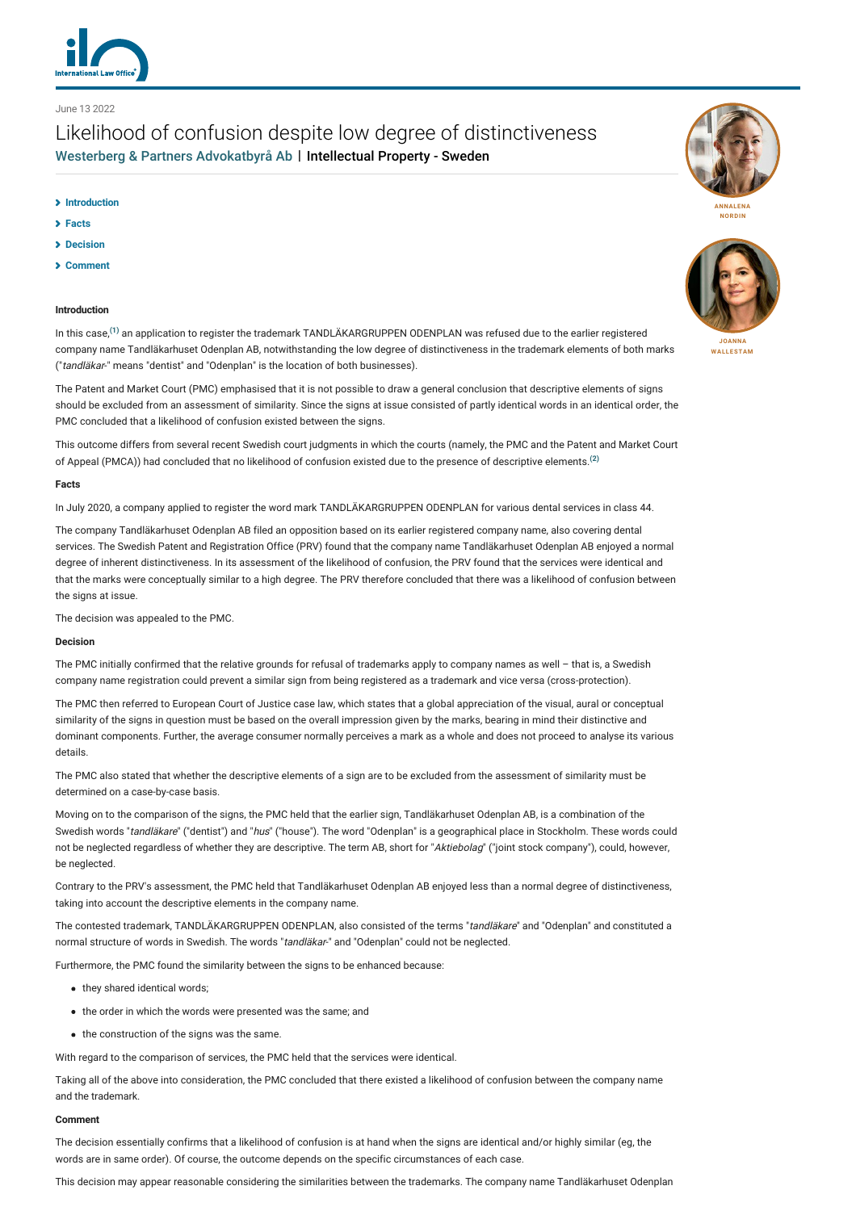

## June 13 2022

# Likelihood of confusion despite low degree of distinctiveness [Westerberg & Partners Advokatbyrå Ab](http://lexology-legacy.lexology.svc.cluster.local/contributors/1222119) | Intellectual Property - Sweden

## **[Introduction](#page-0-0)**

- **[Facts](#page-0-1)**
- **[Decision](#page-0-2)**
- **[Comment](#page-0-3)**

## <span id="page-0-0"></span>**Introduction**

In this case,**[\(1\)](#page-1-0)** an application to register the trademark TANDLÄKARGRUPPEN ODENPLAN was refused due to the earlier registered company name Tandläkarhuset Odenplan AB, notwithstanding the low degree of distinctiveness in the trademark elements of both marks ("tandläkar-" means "dentist" and "Odenplan" is the location of both businesses).

The Patent and Market Court (PMC) emphasised that it is not possible to draw a general conclusion that descriptive elements of signs should be excluded from an assessment of similarity. Since the signs at issue consisted of partly identical words in an identical order, the PMC concluded that a likelihood of confusion existed between the signs.

This outcome differs from several recent Swedish court judgments in which the courts (namely, the PMC and the Patent and Market Court of Appeal (PMCA)) had concluded that no likelihood of confusion existed due to the presence of descriptive elements.**[\(2\)](#page-1-1)**

#### <span id="page-0-1"></span>**Facts**

In July 2020, a company applied to register the word mark TANDLÄKARGRUPPEN ODENPLAN for various dental services in class 44.

The company Tandläkarhuset Odenplan AB filed an opposition based on its earlier registered company name, also covering dental services. The Swedish Patent and Registration Office (PRV) found that the company name Tandläkarhuset Odenplan AB enjoyed a normal degree of inherent distinctiveness. In its assessment of the likelihood of confusion, the PRV found that the services were identical and that the marks were conceptually similar to a high degree. The PRV therefore concluded that there was a likelihood of confusion between the signs at issue.

The decision was appealed to the PMC.

### <span id="page-0-2"></span>**Decision**

The PMC initially confirmed that the relative grounds for refusal of trademarks apply to company names as well – that is, a Swedish company name registration could prevent a similar sign from being registered as a trademark and vice versa (cross-protection).

The PMC then referred to European Court of Justice case law, which states that a global appreciation of the visual, aural or conceptual similarity of the signs in question must be based on the overall impression given by the marks, bearing in mind their distinctive and dominant components. Further, the average consumer normally perceives a mark as a whole and does not proceed to analyse its various details.

The PMC also stated that whether the descriptive elements of a sign are to be excluded from the assessment of similarity must be determined on a case-by-case basis.

Moving on to the comparison of the signs, the PMC held that the earlier sign, Tandläkarhuset Odenplan AB, is a combination of the Swedish words "tandläkare" ("dentist") and "hus" ("house"). The word "Odenplan" is a geographical place in Stockholm. These words could not be neglected regardless of whether they are descriptive. The term AB, short for "Aktiebolag" ("joint stock company"), could, however, be neglected.

Contrary to the PRV's assessment, the PMC held that Tandläkarhuset Odenplan AB enjoyed less than a normal degree of distinctiveness, taking into account the descriptive elements in the company name.

The contested trademark, TANDLÄKARGRUPPEN ODENPLAN, also consisted of the terms "tandläkare" and "Odenplan" and constituted a normal structure of words in Swedish. The words "tandläkar-" and "Odenplan" could not be neglected.

Furthermore, the PMC found the similarity between the signs to be enhanced because:

- they shared identical words;
- the order in which the words were presented was the same; and
- the construction of the signs was the same.

With regard to the comparison of services, the PMC held that the services were identical.

Taking all of the above into consideration, the PMC concluded that there existed a likelihood of confusion between the company name and the trademark.

#### <span id="page-0-3"></span>**Comment**

The decision essentially confirms that a likelihood of confusion is at hand when the signs are identical and/or highly similar (eg, the words are in same order). Of course, the outcome depends on the specific circumstances of each case.

This decision may appear reasonable considering the similarities between the trademarks. The company name Tandläkarhuset Odenplan



**NORDIN**



**[WALLESTAM](http://lexology-legacy.lexology.svc.cluster.local/1222119/author/Joanna_Wallestam/)**